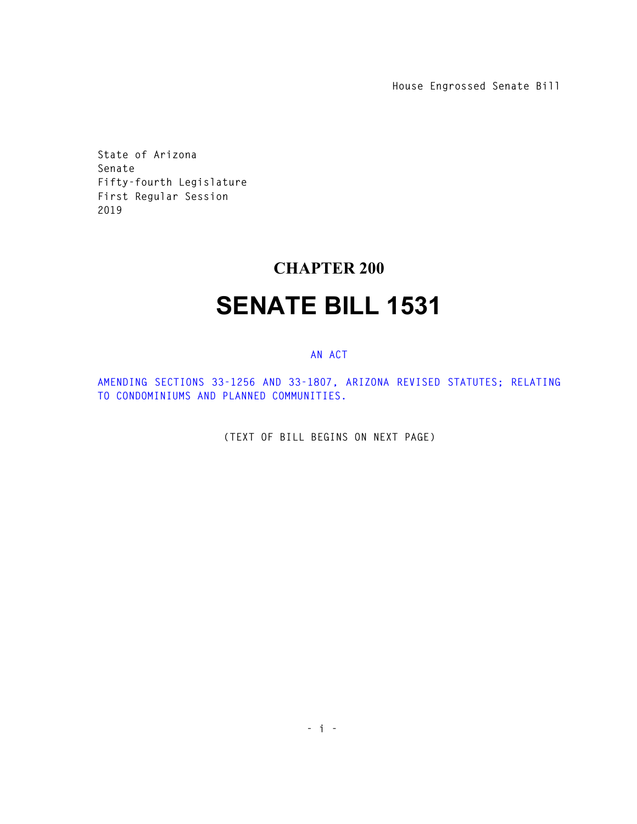**House Engrossed Senate Bill** 

**State of Arizona Senate Fifty-fourth Legislature First Regular Session 2019** 

## **CHAPTER 200**

## **SENATE BILL 1531**

## **AN ACT**

**AMENDING SECTIONS 33-1256 AND 33-1807, ARIZONA REVISED STATUTES; RELATING TO CONDOMINIUMS AND PLANNED COMMUNITIES.** 

**(TEXT OF BILL BEGINS ON NEXT PAGE)**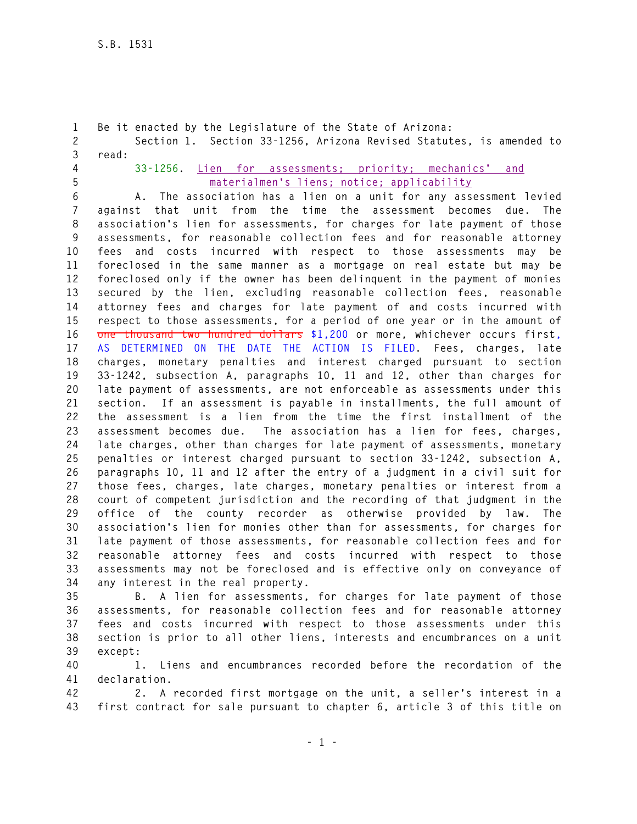**1 Be it enacted by the Legislature of the State of Arizona: 2 Section 1. Section 33-1256, Arizona Revised Statutes, is amended to 3 read: 4 33-1256. Lien for assessments; priority; mechanics' and 5 materialmen's liens; notice; applicability 6 A. The association has a lien on a unit for any assessment levied 7 against that unit from the time the assessment becomes due. The 8 association's lien for assessments, for charges for late payment of those 9 assessments, for reasonable collection fees and for reasonable attorney 10 fees and costs incurred with respect to those assessments may be 11 foreclosed in the same manner as a mortgage on real estate but may be 12 foreclosed only if the owner has been delinquent in the payment of monies 13 secured by the lien, excluding reasonable collection fees, reasonable 14 attorney fees and charges for late payment of and costs incurred with 15 respect to those assessments, for a period of one year or in the amount of 16 one thousand two hundred dollars \$1,200 or more, whichever occurs first, 17 AS DETERMINED ON THE DATE THE ACTION IS FILED. Fees, charges, late 18 charges, monetary penalties and interest charged pursuant to section 19 33-1242, subsection A, paragraphs 10, 11 and 12, other than charges for 20 late payment of assessments, are not enforceable as assessments under this 21 section. If an assessment is payable in installments, the full amount of 22 the assessment is a lien from the time the first installment of the 23 assessment becomes due. The association has a lien for fees, charges, 24 late charges, other than charges for late payment of assessments, monetary 25 penalties or interest charged pursuant to section 33-1242, subsection A, 26 paragraphs 10, 11 and 12 after the entry of a judgment in a civil suit for 27 those fees, charges, late charges, monetary penalties or interest from a 28 court of competent jurisdiction and the recording of that judgment in the 29 office of the county recorder as otherwise provided by law. The 30 association's lien for monies other than for assessments, for charges for 31 late payment of those assessments, for reasonable collection fees and for 32 reasonable attorney fees and costs incurred with respect to those 33 assessments may not be foreclosed and is effective only on conveyance of 34 any interest in the real property.** 

**35 B. A lien for assessments, for charges for late payment of those 36 assessments, for reasonable collection fees and for reasonable attorney 37 fees and costs incurred with respect to those assessments under this 38 section is prior to all other liens, interests and encumbrances on a unit 39 except:** 

**40 1. Liens and encumbrances recorded before the recordation of the 41 declaration.** 

**42 2. A recorded first mortgage on the unit, a seller's interest in a 43 first contract for sale pursuant to chapter 6, article 3 of this title on**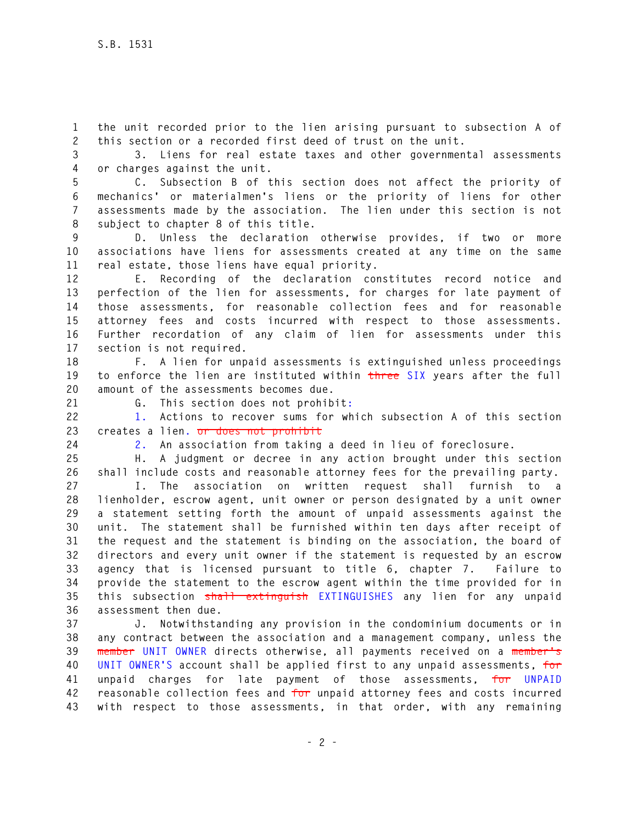**1 the unit recorded prior to the lien arising pursuant to subsection A of 2 this section or a recorded first deed of trust on the unit.** 

**3 3. Liens for real estate taxes and other governmental assessments 4 or charges against the unit.** 

**5 C. Subsection B of this section does not affect the priority of 6 mechanics' or materialmen's liens or the priority of liens for other 7 assessments made by the association. The lien under this section is not 8 subject to chapter 8 of this title.** 

**9 D. Unless the declaration otherwise provides, if two or more 10 associations have liens for assessments created at any time on the same 11 real estate, those liens have equal priority.** 

**12 E. Recording of the declaration constitutes record notice and 13 perfection of the lien for assessments, for charges for late payment of 14 those assessments, for reasonable collection fees and for reasonable 15 attorney fees and costs incurred with respect to those assessments. 16 Further recordation of any claim of lien for assessments under this 17 section is not required.** 

**18 F. A lien for unpaid assessments is extinguished unless proceedings 19 to enforce the lien are instituted within three SIX years after the full 20 amount of the assessments becomes due.** 

**21 G. This section does not prohibit:** 

**22 1. Actions to recover sums for which subsection A of this section 23 creates a lien. or does not prohibit**

**24 2. An association from taking a deed in lieu of foreclosure.** 

**25 H. A judgment or decree in any action brought under this section 26 shall include costs and reasonable attorney fees for the prevailing party.** 

**27 I. The association on written request shall furnish to a 28 lienholder, escrow agent, unit owner or person designated by a unit owner 29 a statement setting forth the amount of unpaid assessments against the 30 unit. The statement shall be furnished within ten days after receipt of 31 the request and the statement is binding on the association, the board of 32 directors and every unit owner if the statement is requested by an escrow 33 agency that is licensed pursuant to title 6, chapter 7. Failure to 34 provide the statement to the escrow agent within the time provided for in 35 this subsection shall extinguish EXTINGUISHES any lien for any unpaid 36 assessment then due.** 

**37 J. Notwithstanding any provision in the condominium documents or in 38 any contract between the association and a management company, unless the 39 member UNIT OWNER directs otherwise, all payments received on a member's 40 UNIT OWNER'S account shall be applied first to any unpaid assessments, for 41 unpaid charges for late payment of those assessments, for UNPAID 42 reasonable collection fees and for unpaid attorney fees and costs incurred 43 with respect to those assessments, in that order, with any remaining**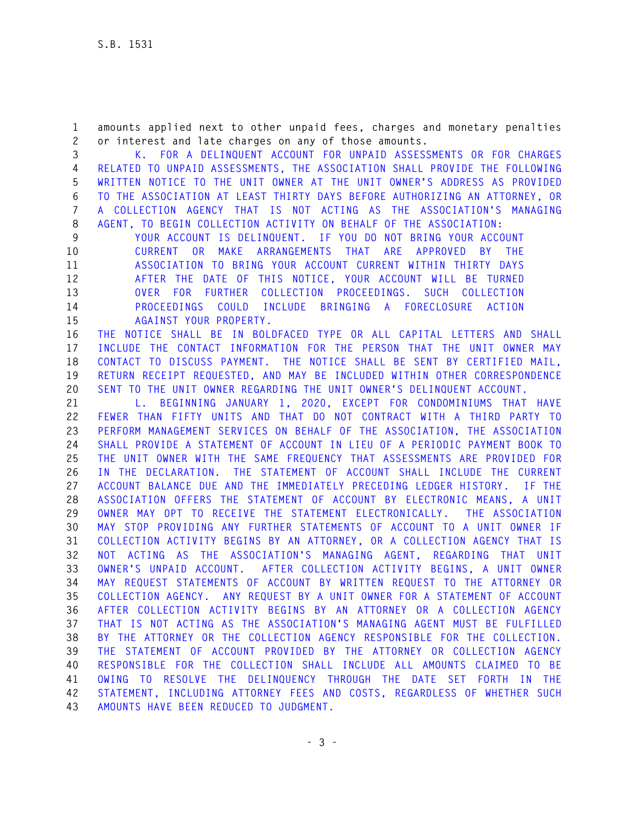**1 amounts applied next to other unpaid fees, charges and monetary penalties 2 or interest and late charges on any of those amounts.** 

**3 K. FOR A DELINQUENT ACCOUNT FOR UNPAID ASSESSMENTS OR FOR CHARGES 4 RELATED TO UNPAID ASSESSMENTS, THE ASSOCIATION SHALL PROVIDE THE FOLLOWING 5 WRITTEN NOTICE TO THE UNIT OWNER AT THE UNIT OWNER'S ADDRESS AS PROVIDED 6 TO THE ASSOCIATION AT LEAST THIRTY DAYS BEFORE AUTHORIZING AN ATTORNEY, OR 7 A COLLECTION AGENCY THAT IS NOT ACTING AS THE ASSOCIATION'S MANAGING 8 AGENT, TO BEGIN COLLECTION ACTIVITY ON BEHALF OF THE ASSOCIATION:** 

**9 YOUR ACCOUNT IS DELINQUENT. IF YOU DO NOT BRING YOUR ACCOUNT 10 CURRENT OR MAKE ARRANGEMENTS THAT ARE APPROVED BY THE 11 ASSOCIATION TO BRING YOUR ACCOUNT CURRENT WITHIN THIRTY DAYS 12 AFTER THE DATE OF THIS NOTICE, YOUR ACCOUNT WILL BE TURNED 13 OVER FOR FURTHER COLLECTION PROCEEDINGS. SUCH COLLECTION 14 PROCEEDINGS COULD INCLUDE BRINGING A FORECLOSURE ACTION 15 AGAINST YOUR PROPERTY.** 

**16 THE NOTICE SHALL BE IN BOLDFACED TYPE OR ALL CAPITAL LETTERS AND SHALL 17 INCLUDE THE CONTACT INFORMATION FOR THE PERSON THAT THE UNIT OWNER MAY 18 CONTACT TO DISCUSS PAYMENT. THE NOTICE SHALL BE SENT BY CERTIFIED MAIL, 19 RETURN RECEIPT REQUESTED, AND MAY BE INCLUDED WITHIN OTHER CORRESPONDENCE 20 SENT TO THE UNIT OWNER REGARDING THE UNIT OWNER'S DELINQUENT ACCOUNT.** 

**21 L. BEGINNING JANUARY 1, 2020, EXCEPT FOR CONDOMINIUMS THAT HAVE 22 FEWER THAN FIFTY UNITS AND THAT DO NOT CONTRACT WITH A THIRD PARTY TO 23 PERFORM MANAGEMENT SERVICES ON BEHALF OF THE ASSOCIATION, THE ASSOCIATION 24 SHALL PROVIDE A STATEMENT OF ACCOUNT IN LIEU OF A PERIODIC PAYMENT BOOK TO 25 THE UNIT OWNER WITH THE SAME FREQUENCY THAT ASSESSMENTS ARE PROVIDED FOR 26 IN THE DECLARATION. THE STATEMENT OF ACCOUNT SHALL INCLUDE THE CURRENT 27 ACCOUNT BALANCE DUE AND THE IMMEDIATELY PRECEDING LEDGER HISTORY. IF THE 28 ASSOCIATION OFFERS THE STATEMENT OF ACCOUNT BY ELECTRONIC MEANS, A UNIT 29 OWNER MAY OPT TO RECEIVE THE STATEMENT ELECTRONICALLY. THE ASSOCIATION 30 MAY STOP PROVIDING ANY FURTHER STATEMENTS OF ACCOUNT TO A UNIT OWNER IF 31 COLLECTION ACTIVITY BEGINS BY AN ATTORNEY, OR A COLLECTION AGENCY THAT IS 32 NOT ACTING AS THE ASSOCIATION'S MANAGING AGENT, REGARDING THAT UNIT 33 OWNER'S UNPAID ACCOUNT. AFTER COLLECTION ACTIVITY BEGINS, A UNIT OWNER 34 MAY REQUEST STATEMENTS OF ACCOUNT BY WRITTEN REQUEST TO THE ATTORNEY OR 35 COLLECTION AGENCY. ANY REQUEST BY A UNIT OWNER FOR A STATEMENT OF ACCOUNT 36 AFTER COLLECTION ACTIVITY BEGINS BY AN ATTORNEY OR A COLLECTION AGENCY 37 THAT IS NOT ACTING AS THE ASSOCIATION'S MANAGING AGENT MUST BE FULFILLED 38 BY THE ATTORNEY OR THE COLLECTION AGENCY RESPONSIBLE FOR THE COLLECTION. 39 THE STATEMENT OF ACCOUNT PROVIDED BY THE ATTORNEY OR COLLECTION AGENCY 40 RESPONSIBLE FOR THE COLLECTION SHALL INCLUDE ALL AMOUNTS CLAIMED TO BE 41 OWING TO RESOLVE THE DELINQUENCY THROUGH THE DATE SET FORTH IN THE 42 STATEMENT, INCLUDING ATTORNEY FEES AND COSTS, REGARDLESS OF WHETHER SUCH 43 AMOUNTS HAVE BEEN REDUCED TO JUDGMENT.**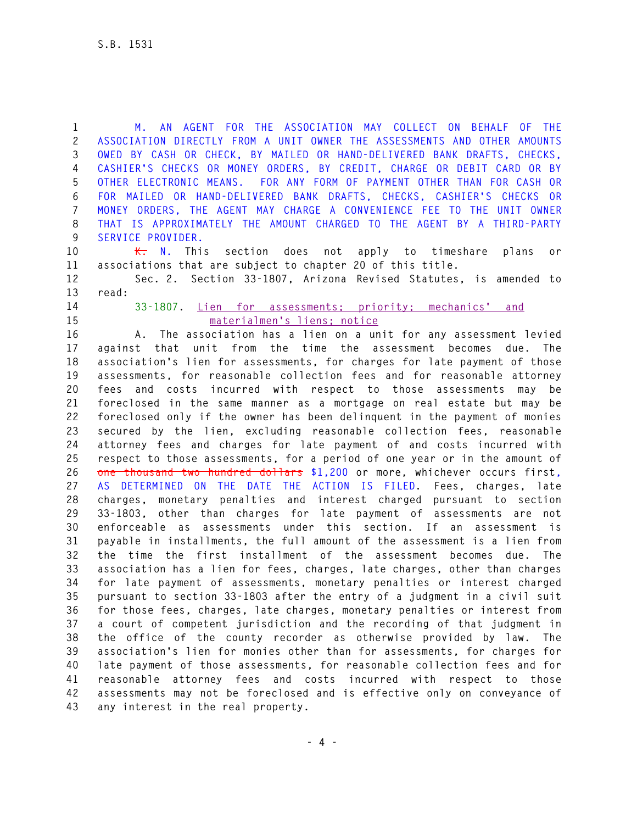**1 M. AN AGENT FOR THE ASSOCIATION MAY COLLECT ON BEHALF OF THE 2 ASSOCIATION DIRECTLY FROM A UNIT OWNER THE ASSESSMENTS AND OTHER AMOUNTS 3 OWED BY CASH OR CHECK, BY MAILED OR HAND-DELIVERED BANK DRAFTS, CHECKS, 4 CASHIER'S CHECKS OR MONEY ORDERS, BY CREDIT, CHARGE OR DEBIT CARD OR BY 5 OTHER ELECTRONIC MEANS. FOR ANY FORM OF PAYMENT OTHER THAN FOR CASH OR 6 FOR MAILED OR HAND-DELIVERED BANK DRAFTS, CHECKS, CASHIER'S CHECKS OR 7 MONEY ORDERS, THE AGENT MAY CHARGE A CONVENIENCE FEE TO THE UNIT OWNER 8 THAT IS APPROXIMATELY THE AMOUNT CHARGED TO THE AGENT BY A THIRD-PARTY 9 SERVICE PROVIDER. 10 K. N. This section does not apply to timeshare plans or 11 associations that are subject to chapter 20 of this title. 12 Sec. 2. Section 33-1807, Arizona Revised Statutes, is amended to 13 read: 14 33-1807. Lien for assessments; priority; mechanics' and 15 materialmen's liens; notice 16 A. The association has a lien on a unit for any assessment levied 17 against that unit from the time the assessment becomes due. The 18 association's lien for assessments, for charges for late payment of those 19 assessments, for reasonable collection fees and for reasonable attorney 20 fees and costs incurred with respect to those assessments may be 21 foreclosed in the same manner as a mortgage on real estate but may be 22 foreclosed only if the owner has been delinquent in the payment of monies 23 secured by the lien, excluding reasonable collection fees, reasonable 24 attorney fees and charges for late payment of and costs incurred with 25 respect to those assessments, for a period of one year or in the amount of 26 one thousand two hundred dollars \$1,200 or more, whichever occurs first, 27 AS DETERMINED ON THE DATE THE ACTION IS FILED. Fees, charges, late 28 charges, monetary penalties and interest charged pursuant to section 29 33-1803, other than charges for late payment of assessments are not 30 enforceable as assessments under this section. If an assessment is 31 payable in installments, the full amount of the assessment is a lien from 32 the time the first installment of the assessment becomes due. The 33 association has a lien for fees, charges, late charges, other than charges 34 for late payment of assessments, monetary penalties or interest charged 35 pursuant to section 33-1803 after the entry of a judgment in a civil suit 36 for those fees, charges, late charges, monetary penalties or interest from 37 a court of competent jurisdiction and the recording of that judgment in 38 the office of the county recorder as otherwise provided by law. The 39 association's lien for monies other than for assessments, for charges for 40 late payment of those assessments, for reasonable collection fees and for 41 reasonable attorney fees and costs incurred with respect to those 42 assessments may not be foreclosed and is effective only on conveyance of 43 any interest in the real property.**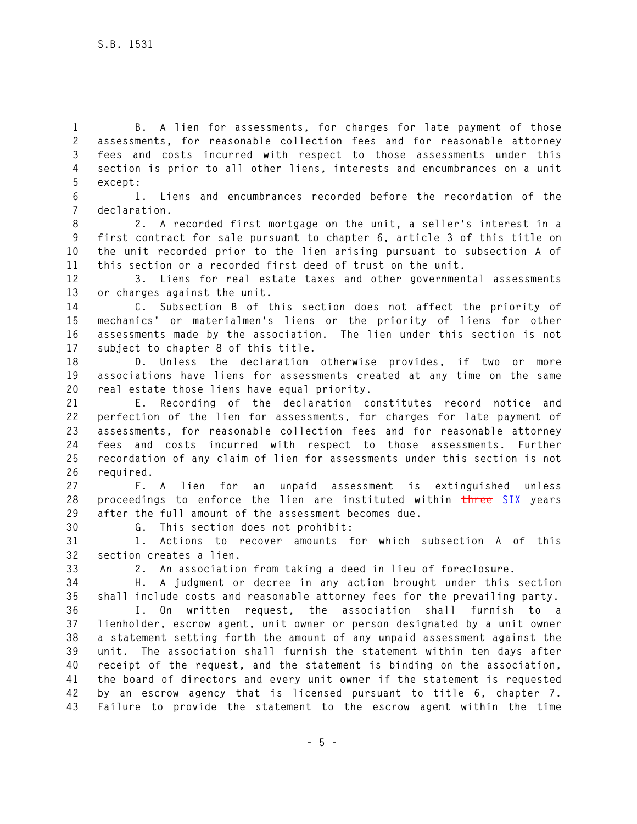**1 B. A lien for assessments, for charges for late payment of those 2 assessments, for reasonable collection fees and for reasonable attorney 3 fees and costs incurred with respect to those assessments under this 4 section is prior to all other liens, interests and encumbrances on a unit 5 except:** 

**6 1. Liens and encumbrances recorded before the recordation of the 7 declaration.** 

**8 2. A recorded first mortgage on the unit, a seller's interest in a 9 first contract for sale pursuant to chapter 6, article 3 of this title on 10 the unit recorded prior to the lien arising pursuant to subsection A of 11 this section or a recorded first deed of trust on the unit.** 

**12 3. Liens for real estate taxes and other governmental assessments 13 or charges against the unit.** 

**14 C. Subsection B of this section does not affect the priority of 15 mechanics' or materialmen's liens or the priority of liens for other 16 assessments made by the association. The lien under this section is not 17 subject to chapter 8 of this title.** 

**18 D. Unless the declaration otherwise provides, if two or more 19 associations have liens for assessments created at any time on the same 20 real estate those liens have equal priority.** 

**21 E. Recording of the declaration constitutes record notice and 22 perfection of the lien for assessments, for charges for late payment of 23 assessments, for reasonable collection fees and for reasonable attorney 24 fees and costs incurred with respect to those assessments. Further 25 recordation of any claim of lien for assessments under this section is not 26 required.** 

**27 F. A lien for an unpaid assessment is extinguished unless 28 proceedings to enforce the lien are instituted within three SIX years 29 after the full amount of the assessment becomes due.** 

**30 G. This section does not prohibit:** 

**31 1. Actions to recover amounts for which subsection A of this 32 section creates a lien.** 

**33 2. An association from taking a deed in lieu of foreclosure.** 

**34 H. A judgment or decree in any action brought under this section 35 shall include costs and reasonable attorney fees for the prevailing party.** 

**36 I. On written request, the association shall furnish to a 37 lienholder, escrow agent, unit owner or person designated by a unit owner 38 a statement setting forth the amount of any unpaid assessment against the 39 unit. The association shall furnish the statement within ten days after 40 receipt of the request, and the statement is binding on the association, 41 the board of directors and every unit owner if the statement is requested 42 by an escrow agency that is licensed pursuant to title 6, chapter 7. 43 Failure to provide the statement to the escrow agent within the time**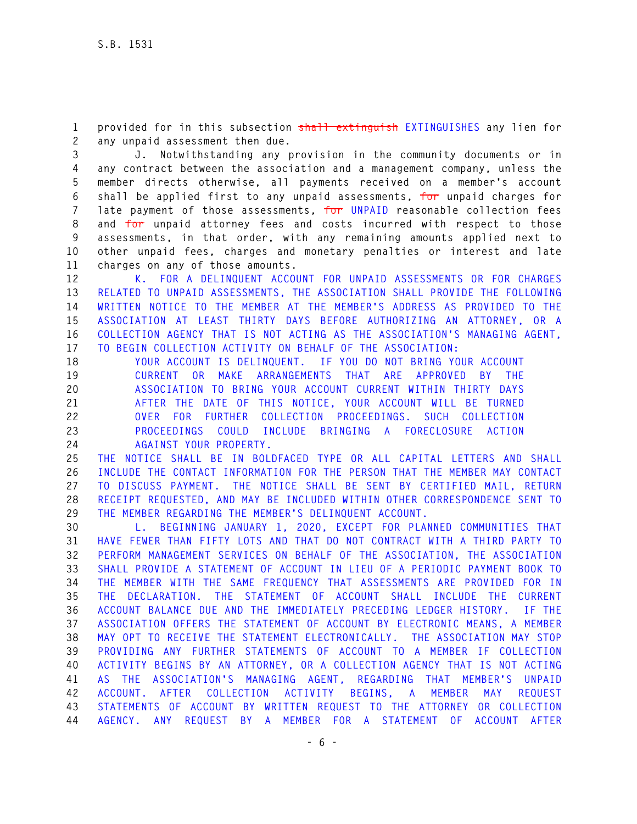1 provided for in this subsection shall extinguish EXTINGUISHES any lien for **2 any unpaid assessment then due.** 

**3 J. Notwithstanding any provision in the community documents or in 4 any contract between the association and a management company, unless the 5 member directs otherwise, all payments received on a member's account 6 shall be applied first to any unpaid assessments, for unpaid charges for 7 late payment of those assessments, for UNPAID reasonable collection fees 8 and for unpaid attorney fees and costs incurred with respect to those 9 assessments, in that order, with any remaining amounts applied next to 10 other unpaid fees, charges and monetary penalties or interest and late 11 charges on any of those amounts.** 

**12 K. FOR A DELINQUENT ACCOUNT FOR UNPAID ASSESSMENTS OR FOR CHARGES 13 RELATED TO UNPAID ASSESSMENTS, THE ASSOCIATION SHALL PROVIDE THE FOLLOWING 14 WRITTEN NOTICE TO THE MEMBER AT THE MEMBER'S ADDRESS AS PROVIDED TO THE 15 ASSOCIATION AT LEAST THIRTY DAYS BEFORE AUTHORIZING AN ATTORNEY, OR A 16 COLLECTION AGENCY THAT IS NOT ACTING AS THE ASSOCIATION'S MANAGING AGENT, 17 TO BEGIN COLLECTION ACTIVITY ON BEHALF OF THE ASSOCIATION:** 

**18 YOUR ACCOUNT IS DELINQUENT. IF YOU DO NOT BRING YOUR ACCOUNT 19 CURRENT OR MAKE ARRANGEMENTS THAT ARE APPROVED BY THE 20 ASSOCIATION TO BRING YOUR ACCOUNT CURRENT WITHIN THIRTY DAYS 21 AFTER THE DATE OF THIS NOTICE, YOUR ACCOUNT WILL BE TURNED 22 OVER FOR FURTHER COLLECTION PROCEEDINGS. SUCH COLLECTION 23 PROCEEDINGS COULD INCLUDE BRINGING A FORECLOSURE ACTION 24 AGAINST YOUR PROPERTY.** 

**25 THE NOTICE SHALL BE IN BOLDFACED TYPE OR ALL CAPITAL LETTERS AND SHALL 26 INCLUDE THE CONTACT INFORMATION FOR THE PERSON THAT THE MEMBER MAY CONTACT 27 TO DISCUSS PAYMENT. THE NOTICE SHALL BE SENT BY CERTIFIED MAIL, RETURN 28 RECEIPT REQUESTED, AND MAY BE INCLUDED WITHIN OTHER CORRESPONDENCE SENT TO 29 THE MEMBER REGARDING THE MEMBER'S DELINQUENT ACCOUNT.** 

**30 L. BEGINNING JANUARY 1, 2020, EXCEPT FOR PLANNED COMMUNITIES THAT 31 HAVE FEWER THAN FIFTY LOTS AND THAT DO NOT CONTRACT WITH A THIRD PARTY TO 32 PERFORM MANAGEMENT SERVICES ON BEHALF OF THE ASSOCIATION, THE ASSOCIATION 33 SHALL PROVIDE A STATEMENT OF ACCOUNT IN LIEU OF A PERIODIC PAYMENT BOOK TO 34 THE MEMBER WITH THE SAME FREQUENCY THAT ASSESSMENTS ARE PROVIDED FOR IN 35 THE DECLARATION. THE STATEMENT OF ACCOUNT SHALL INCLUDE THE CURRENT 36 ACCOUNT BALANCE DUE AND THE IMMEDIATELY PRECEDING LEDGER HISTORY. IF THE 37 ASSOCIATION OFFERS THE STATEMENT OF ACCOUNT BY ELECTRONIC MEANS, A MEMBER 38 MAY OPT TO RECEIVE THE STATEMENT ELECTRONICALLY. THE ASSOCIATION MAY STOP 39 PROVIDING ANY FURTHER STATEMENTS OF ACCOUNT TO A MEMBER IF COLLECTION 40 ACTIVITY BEGINS BY AN ATTORNEY, OR A COLLECTION AGENCY THAT IS NOT ACTING 41 AS THE ASSOCIATION'S MANAGING AGENT, REGARDING THAT MEMBER'S UNPAID 42 ACCOUNT. AFTER COLLECTION ACTIVITY BEGINS, A MEMBER MAY REQUEST 43 STATEMENTS OF ACCOUNT BY WRITTEN REQUEST TO THE ATTORNEY OR COLLECTION 44 AGENCY. ANY REQUEST BY A MEMBER FOR A STATEMENT OF ACCOUNT AFTER**